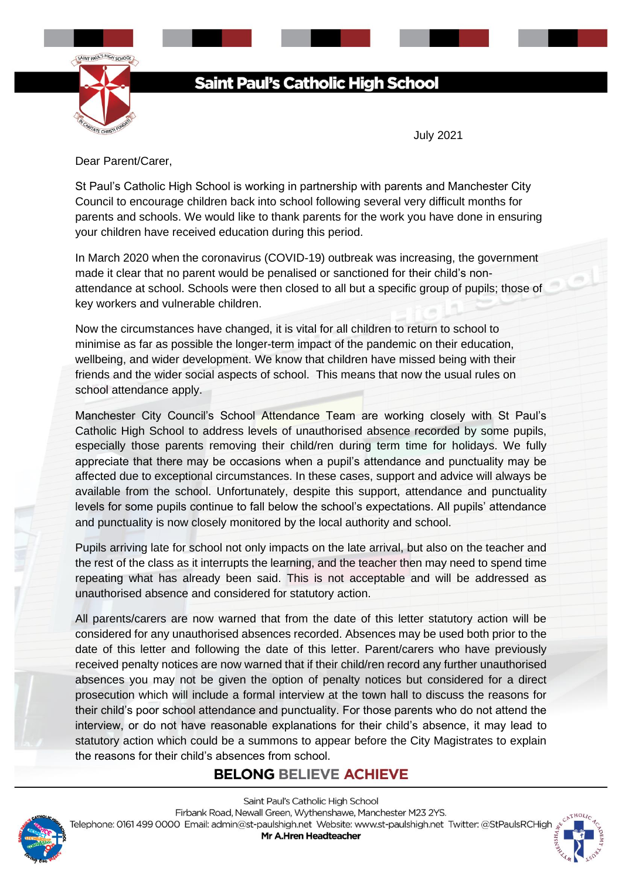

# **Saint Paul's Catholic High School**

July 2021

Dear Parent/Carer,

St Paul's Catholic High School is working in partnership with parents and Manchester City Council to encourage children back into school following several very difficult months for parents and schools. We would like to thank parents for the work you have done in ensuring your children have received education during this period.

In March 2020 when the coronavirus (COVID-19) outbreak was increasing, the government made it clear that no parent would be penalised or sanctioned for their child's nonattendance at school. Schools were then closed to all but a specific group of pupils; those of key workers and vulnerable children.

Now the circumstances have changed, it is vital for all children to return to school to minimise as far as possible the longer-term impact of the pandemic on their education, wellbeing, and wider development. We know that children have missed being with their friends and the wider social aspects of school. This means that now the usual rules on school attendance apply.

Manchester City Council's School Attendance Team are working closely with St Paul's Catholic High School to address levels of unauthorised absence recorded by some pupils, especially those parents removing their child/ren during term time for holidays. We fully appreciate that there may be occasions when a pupil's attendance and punctuality may be affected due to exceptional circumstances. In these cases, support and advice will always be available from the school. Unfortunately, despite this support, attendance and punctuality levels for some pupils continue to fall below the school's expectations. All pupils' attendance and punctuality is now closely monitored by the local authority and school.

Pupils arriving late for school not only impacts on the late arrival, but also on the teacher and the rest of the class as it interrupts the learning, and the teacher then may need to spend time repeating what has already been said. This is not acceptable and will be addressed as unauthorised absence and considered for statutory action.

All parents/carers are now warned that from the date of this letter statutory action will be considered for any unauthorised absences recorded. Absences may be used both prior to the date of this letter and following the date of this letter. Parent/carers who have previously received penalty notices are now warned that if their child/ren record any further unauthorised absences you may not be given the option of penalty notices but considered for a direct prosecution which will include a formal interview at the town hall to discuss the reasons for their child's poor school attendance and punctuality. For those parents who do not attend the interview, or do not have reasonable explanations for their child's absence, it may lead to statutory action which could be a summons to appear before the City Magistrates to explain the reasons for their child's absences from school.

#### **BELONG BELIEVE ACHIEVE**



Saint Paul's Catholic High School Firbank Road, Newall Green, Wythenshawe, Manchester M23 2YS. Telephone: 0161 499 0000 Email: admin@st-paulshigh.net Website: www.st-paulshigh.net Twitter: @StPaulsRCHigh

Mr A.Hren Headteacher